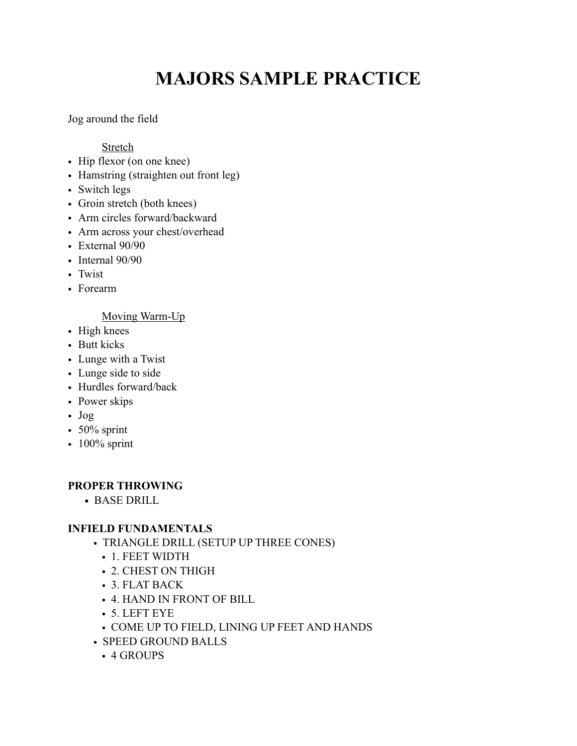# **MAJORS SAMPLE PRACTICE**

Jog around the field

Stretch

- Hip flexor (on one knee)
- Hamstring (straighten out front leg)
- Switch legs
- Groin stretch (both knees)
- Arm circles forward/backward
- Arm across your chest/overhead
- External 90/90
- Internal 90/90
- Twist
- Forearm

## Moving Warm-Up

- High knees
- Butt kicks
- Lunge with a Twist
- Lunge side to side
- Hurdles forward/back
- Power skips
- Jog
- $50\%$  sprint
- $\cdot$  100% sprint

## **PROPER THROWING**

**•** BASE DRILL

## **INFIELD FUNDAMENTALS**

- TRIANGLE DRILL (SETUP UP THREE CONES)
	- 1. FEET WIDTH
	- 2. CHEST ON THIGH
	- 3. FLAT BACK
	- 4. HAND IN FRONT OF BILL
	- 5. LEFT EYE
	- COME UP TO FIELD, LINING UP FEET AND HANDS
- SPEED GROUND BALLS
	- 4 GROUPS